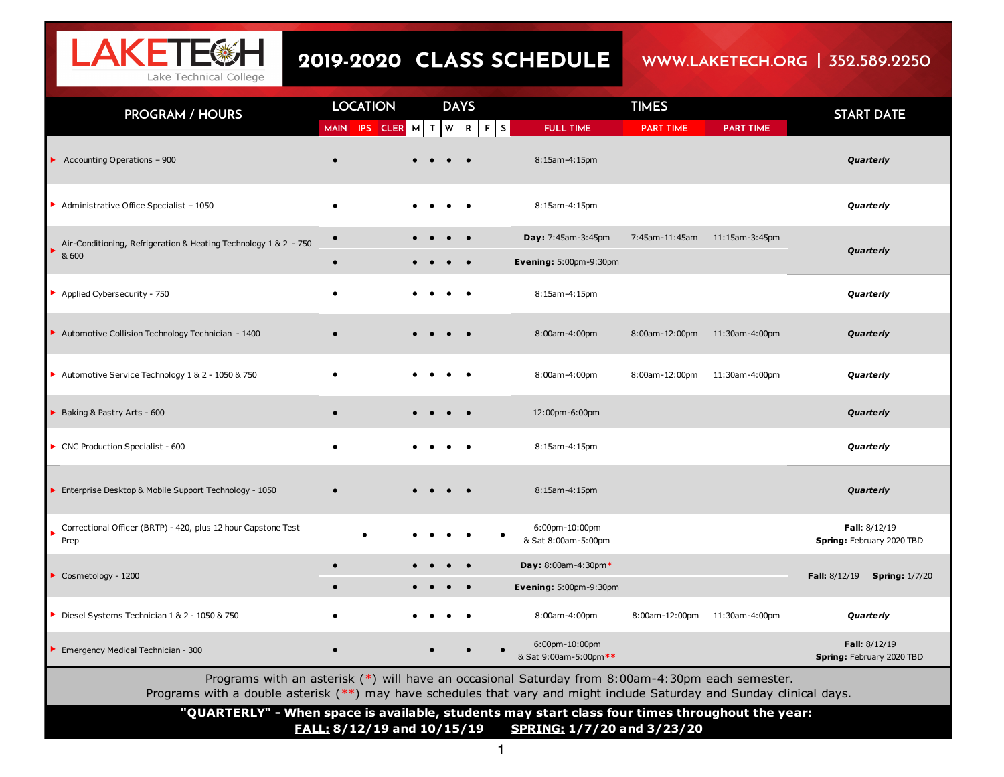

## 2019-2020 CLASS SCHEDULE

## WWW.LAKETECH.ORG | 352.589.2250

| <b>PROGRAM / HOURS</b>                                                                                                                                                                                                     | <b>LOCATION</b>        |  |          | <b>DAYS</b> |             |                                                     | <b>TIMES</b>     |                  | <b>START DATE</b>                          |
|----------------------------------------------------------------------------------------------------------------------------------------------------------------------------------------------------------------------------|------------------------|--|----------|-------------|-------------|-----------------------------------------------------|------------------|------------------|--------------------------------------------|
|                                                                                                                                                                                                                            | MAIN IPS CLER M T      |  | <b>W</b> |             | $R$ $F$ $S$ | <b>FULL TIME</b>                                    | <b>PART TIME</b> | <b>PART TIME</b> |                                            |
| Accounting Operations - 900                                                                                                                                                                                                |                        |  |          |             |             | 8:15am-4:15pm                                       |                  |                  | Quarterly                                  |
| Administrative Office Specialist - 1050                                                                                                                                                                                    | $\bullet$              |  |          |             |             | 8:15am-4:15pm                                       |                  |                  | Quarterly                                  |
| Air-Conditioning, Refrigeration & Heating Technology 1 & 2 - 750<br>& 600                                                                                                                                                  | $\bullet$<br>$\bullet$ |  |          | $\bullet$   |             | Day: 7:45am-3:45pm<br><b>Evening: 5:00pm-9:30pm</b> | 7:45am-11:45am   | 11:15am-3:45pm   | Quarterly                                  |
| Applied Cybersecurity - 750                                                                                                                                                                                                |                        |  |          |             |             | 8:15am-4:15pm                                       |                  |                  | Quarterly                                  |
| Automotive Collision Technology Technician - 1400                                                                                                                                                                          |                        |  |          |             |             | 8:00am-4:00pm                                       | 8:00am-12:00pm   | 11:30am-4:00pm   | Quarterly                                  |
| Automotive Service Technology 1 & 2 - 1050 & 750                                                                                                                                                                           |                        |  |          |             |             | 8:00am-4:00pm                                       | 8:00am-12:00pm   | 11:30am-4:00pm   | Quarterly                                  |
| Baking & Pastry Arts - 600                                                                                                                                                                                                 | $\bullet$              |  |          |             |             | 12:00pm-6:00pm                                      |                  |                  | Quarterly                                  |
| CNC Production Specialist - 600                                                                                                                                                                                            |                        |  |          |             |             | 8:15am-4:15pm                                       |                  |                  | Quarterly                                  |
| Enterprise Desktop & Mobile Support Technology - 1050                                                                                                                                                                      |                        |  |          |             |             | 8:15am-4:15pm                                       |                  |                  | Quarterly                                  |
| Correctional Officer (BRTP) - 420, plus 12 hour Capstone Test<br>Prep                                                                                                                                                      | $\bullet$              |  |          |             |             | 6:00pm-10:00pm<br>& Sat 8:00am-5:00pm               |                  |                  | Fall: 8/12/19<br>Spring: February 2020 TBD |
| Cosmetology - 1200                                                                                                                                                                                                         | $\bullet$              |  |          |             |             | Day: 8:00am-4:30pm*                                 |                  |                  |                                            |
|                                                                                                                                                                                                                            | $\bullet$              |  |          | $\bullet$   |             | <b>Evening: 5:00pm-9:30pm</b>                       |                  |                  | Fall: 8/12/19<br><b>Spring: 1/7/20</b>     |
| Diesel Systems Technician 1 & 2 - 1050 & 750                                                                                                                                                                               |                        |  |          |             |             | 8:00am-4:00pm                                       | 8:00am-12:00pm   | 11:30am-4:00pm   | Quarterly                                  |
| Emergency Medical Technician - 300                                                                                                                                                                                         | $\bullet$              |  |          |             |             | 6:00pm-10:00pm<br>& Sat 9:00am-5:00pm**             |                  |                  | Fall: 8/12/19<br>Spring: February 2020 TBD |
| Programs with an asterisk (*) will have an occasional Saturday from 8:00am-4:30pm each semester.<br>Programs with a double asterisk (**) may have schedules that vary and might include Saturday and Sunday clinical days. |                        |  |          |             |             |                                                     |                  |                  |                                            |
| "QUARTERLY" - When space is available, students may start class four times throughout the year:<br><b>FALL: 8/12/19 and 10/15/19</b><br>SPRING: 1/7/20 and 3/23/20                                                         |                        |  |          |             |             |                                                     |                  |                  |                                            |